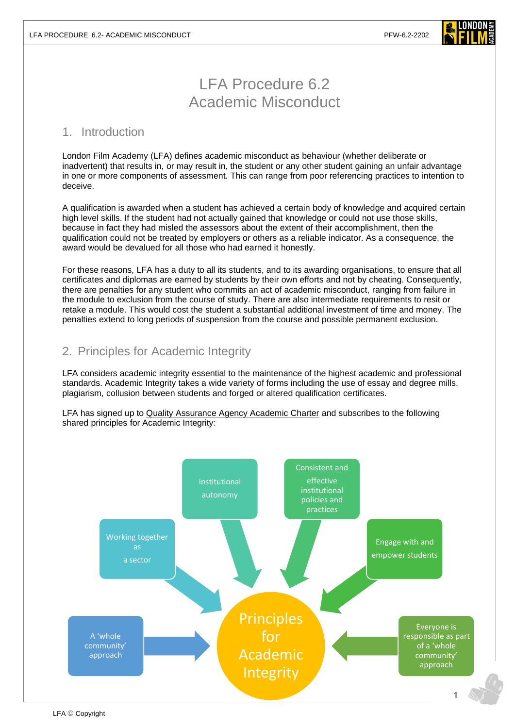

# LFA Procedure 6.2 Academic Misconduct

### 1. Introduction

London Film Academy (LFA) defines academic misconduct as behaviour (whether deliberate or inadvertent) that results in, or may result in, the student or any other student gaining an unfair advantage in one or more components of assessment. This can range from poor referencing practices to intention to deceive.

A qualification is awarded when a student has achieved a certain body of knowledge and acquired certain high level skills. If the student had not actually gained that knowledge or could not use those skills, because in fact they had misled the assessors about the extent of their accomplishment, then the qualification could not be treated by employers or others as a reliable indicator. As a consequence, the award would be devalued for all those who had earned it honestly.

For these reasons, LFA has a duty to all its students, and to its awarding organisations, to ensure that all certificates and diplomas are earned by students by their own efforts and not by cheating. Consequently, there are penalties for any student who commits an act of academic misconduct, ranging from failure in the module to exclusion from the course of study. There are also intermediate requirements to resit or retake a module. This would cost the student a substantial additional investment of time and money. The penalties extend to long periods of suspension from the course and possible permanent exclusion.

# 2. Principles for Academic Integrity

LFA considers academic integrity essential to the maintenance of the highest academic and professional standards. Academic Integrity takes a wide variety of forms including the use of essay and degree mills, plagiarism, collusion between students and forged or altered qualification certificates.

LFA has signed up to [Quality Assurance Agency Academic Charter](https://www.qaa.ac.uk/about-us/what-we-do/academic-integrity/charter) and subscribes to the following shared principles for Academic Integrity:

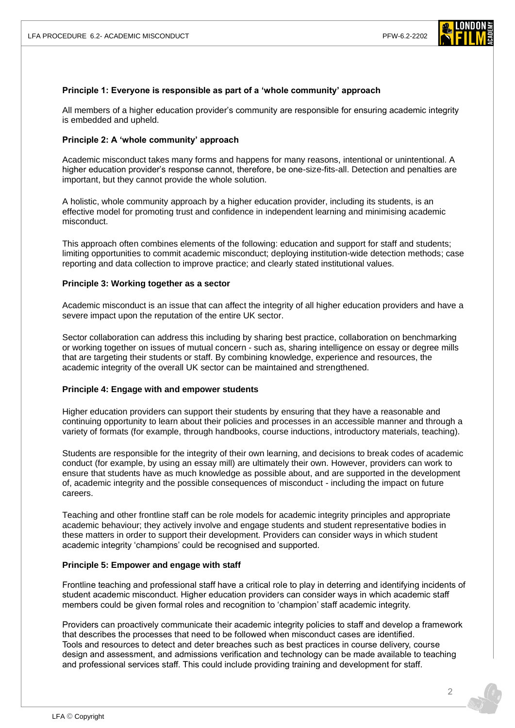

#### **Principle 1: Everyone is responsible as part of a 'whole community' approach**

All members of a higher education provider's community are responsible for ensuring academic integrity is embedded and upheld.

#### **Principle 2: A 'whole community' approach**

Academic misconduct takes many forms and happens for many reasons, intentional or unintentional. A higher education provider's response cannot, therefore, be one-size-fits-all. Detection and penalties are important, but they cannot provide the whole solution.

A holistic, whole community approach by a higher education provider, including its students, is an effective model for promoting trust and confidence in independent learning and minimising academic misconduct.

This approach often combines elements of the following: education and support for staff and students; limiting opportunities to commit academic misconduct; deploying institution-wide detection methods; case reporting and data collection to improve practice; and clearly stated institutional values.

#### **Principle 3: Working together as a sector**

Academic misconduct is an issue that can affect the integrity of all higher education providers and have a severe impact upon the reputation of the entire UK sector.

Sector collaboration can address this including by sharing best practice, collaboration on benchmarking or working together on issues of mutual concern - such as, sharing intelligence on essay or degree mills that are targeting their students or staff. By combining knowledge, experience and resources, the academic integrity of the overall UK sector can be maintained and strengthened.

#### **Principle 4: Engage with and empower students**

Higher education providers can support their students by ensuring that they have a reasonable and continuing opportunity to learn about their policies and processes in an accessible manner and through a variety of formats (for example, through handbooks, course inductions, introductory materials, teaching).

Students are responsible for the integrity of their own learning, and decisions to break codes of academic conduct (for example, by using an essay mill) are ultimately their own. However, providers can work to ensure that students have as much knowledge as possible about, and are supported in the development of, academic integrity and the possible consequences of misconduct - including the impact on future careers.

Teaching and other frontline staff can be role models for academic integrity principles and appropriate academic behaviour; they actively involve and engage students and student representative bodies in these matters in order to support their development. Providers can consider ways in which student academic integrity 'champions' could be recognised and supported.

#### **Principle 5: Empower and engage with staff**

Frontline teaching and professional staff have a critical role to play in deterring and identifying incidents of student academic misconduct. Higher education providers can consider ways in which academic staff members could be given formal roles and recognition to 'champion' staff academic integrity.

Providers can proactively communicate their academic integrity policies to staff and develop a framework that describes the processes that need to be followed when misconduct cases are identified. Tools and resources to detect and deter breaches such as best practices in course delivery, course design and assessment, and admissions verification and technology can be made available to teaching and professional services staff. This could include providing training and development for staff.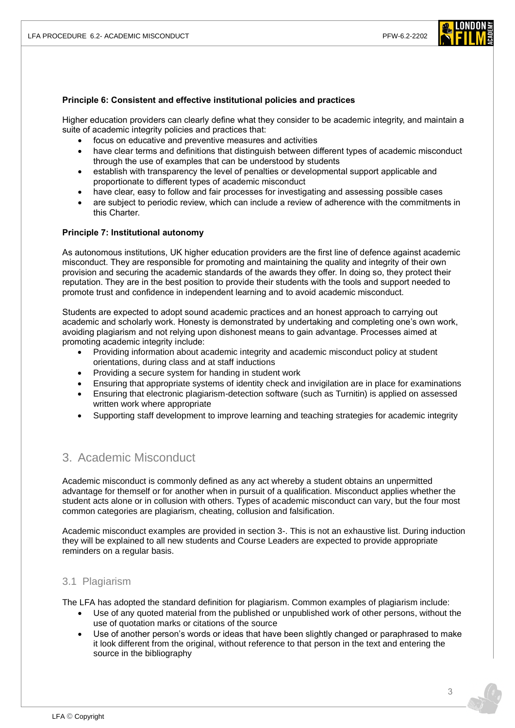

#### **Principle 6: Consistent and effective institutional policies and practices**

Higher education providers can clearly define what they consider to be academic integrity, and maintain a suite of academic integrity policies and practices that:

- focus on educative and preventive measures and activities
- have clear terms and definitions that distinguish between different types of academic misconduct through the use of examples that can be understood by students
- establish with transparency the level of penalties or developmental support applicable and proportionate to different types of academic misconduct
- have clear, easy to follow and fair processes for investigating and assessing possible cases
- are subject to periodic review, which can include a review of adherence with the commitments in this Charter.

#### **Principle 7: Institutional autonomy**

As autonomous institutions, UK higher education providers are the first line of defence against academic misconduct. They are responsible for promoting and maintaining the quality and integrity of their own provision and securing the academic standards of the awards they offer. In doing so, they protect their reputation. They are in the best position to provide their students with the tools and support needed to promote trust and confidence in independent learning and to avoid academic misconduct.

Students are expected to adopt sound academic practices and an honest approach to carrying out academic and scholarly work. Honesty is demonstrated by undertaking and completing one's own work, avoiding plagiarism and not relying upon dishonest means to gain advantage. Processes aimed at promoting academic integrity include:

- Providing information about academic integrity and academic misconduct policy at student orientations, during class and at staff inductions
- Providing a secure system for handing in student work
- Ensuring that appropriate systems of identity check and invigilation are in place for examinations
- Ensuring that electronic plagiarism-detection software (such as Turnitin) is applied on assessed written work where appropriate
- Supporting staff development to improve learning and teaching strategies for academic integrity

## 3. Academic Misconduct

Academic misconduct is commonly defined as any act whereby a student obtains an unpermitted advantage for themself or for another when in pursuit of a qualification. Misconduct applies whether the student acts alone or in collusion with others. Types of academic misconduct can vary, but the four most common categories are plagiarism, cheating, collusion and falsification.

Academic misconduct examples are provided in section 3-. This is not an exhaustive list. During induction they will be explained to all new students and Course Leaders are expected to provide appropriate reminders on a regular basis.

### 3.1 Plagiarism

The LFA has adopted the standard definition for plagiarism. Common examples of plagiarism include:

- Use of any quoted material from the published or unpublished work of other persons, without the use of quotation marks or citations of the source
- Use of another person's words or ideas that have been slightly changed or paraphrased to make it look different from the original, without reference to that person in the text and entering the source in the bibliography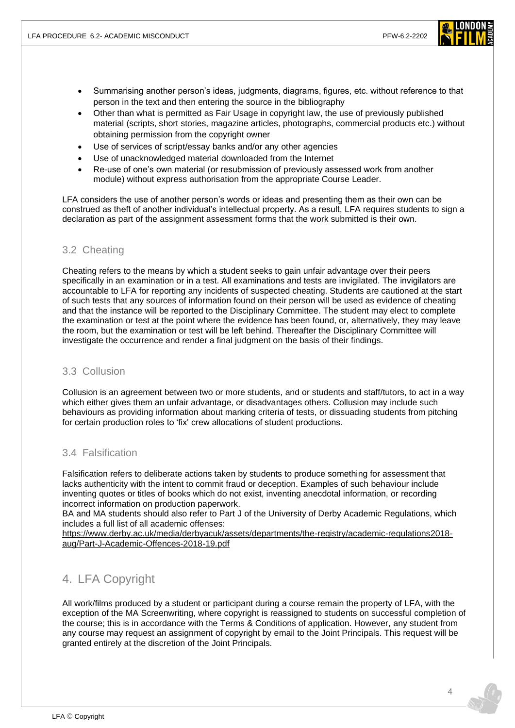

- Summarising another person's ideas, judgments, diagrams, figures, etc. without reference to that person in the text and then entering the source in the bibliography
- Other than what is permitted as Fair Usage in copyright law, the use of previously published material (scripts, short stories, magazine articles, photographs, commercial products etc.) without obtaining permission from the copyright owner
- Use of services of script/essay banks and/or any other agencies
- Use of unacknowledged material downloaded from the Internet
- Re-use of one's own material (or resubmission of previously assessed work from another module) without express authorisation from the appropriate Course Leader.

LFA considers the use of another person's words or ideas and presenting them as their own can be construed as theft of another individual's intellectual property. As a result, LFA requires students to sign a declaration as part of the assignment assessment forms that the work submitted is their own.

### 3.2 Cheating

Cheating refers to the means by which a student seeks to gain unfair advantage over their peers specifically in an examination or in a test. All examinations and tests are invigilated. The invigilators are accountable to LFA for reporting any incidents of suspected cheating. Students are cautioned at the start of such tests that any sources of information found on their person will be used as evidence of cheating and that the instance will be reported to the Disciplinary Committee. The student may elect to complete the examination or test at the point where the evidence has been found, or, alternatively, they may leave the room, but the examination or test will be left behind. Thereafter the Disciplinary Committee will investigate the occurrence and render a final judgment on the basis of their findings.

### 3.3 Collusion

Collusion is an agreement between two or more students, and or students and staff/tutors, to act in a way which either gives them an unfair advantage, or disadvantages others. Collusion may include such behaviours as providing information about marking criteria of tests, or dissuading students from pitching for certain production roles to 'fix' crew allocations of student productions.

### 3.4 Falsification

Falsification refers to deliberate actions taken by students to produce something for assessment that lacks authenticity with the intent to commit fraud or deception. Examples of such behaviour include inventing quotes or titles of books which do not exist, inventing anecdotal information, or recording incorrect information on production paperwork.

BA and MA students should also refer to Part J of the University of Derby Academic Regulations, which includes a full list of all academic offenses:

[https://www.derby.ac.uk/media/derbyacuk/assets/departments/the-registry/academic-regulations2018](https://www.derby.ac.uk/media/derbyacuk/assets/departments/the-registry/academic-regulations2018-aug/Part-J-Academic-Offences-2018-19.pdf) [aug/Part-J-Academic-Offences-2018-19.pdf](https://www.derby.ac.uk/media/derbyacuk/assets/departments/the-registry/academic-regulations2018-aug/Part-J-Academic-Offences-2018-19.pdf)

# 4. LFA Copyright

All work/films produced by a student or participant during a course remain the property of LFA, with the exception of the MA Screenwriting, where copyright is reassigned to students on successful completion of the course; this is in accordance with the Terms & Conditions of application. However, any student from any course may request an assignment of copyright by email to the Joint Principals. This request will be granted entirely at the discretion of the Joint Principals.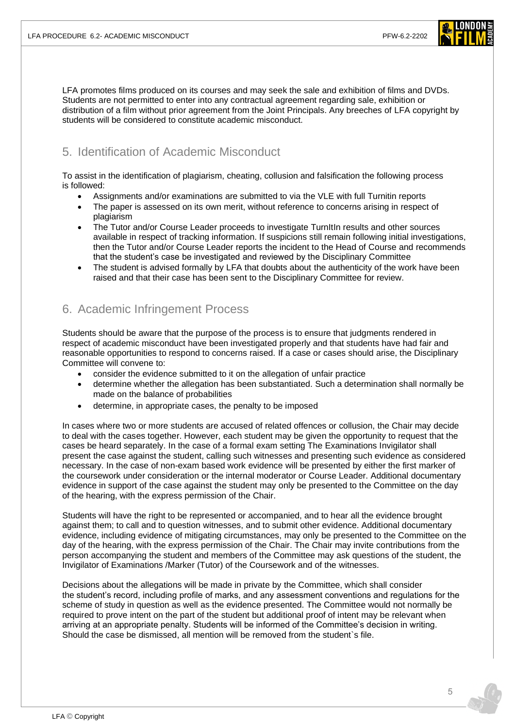

LFA promotes films produced on its courses and may seek the sale and exhibition of films and DVDs. Students are not permitted to enter into any contractual agreement regarding sale, exhibition or distribution of a film without prior agreement from the Joint Principals. Any breeches of LFA copyright by students will be considered to constitute academic misconduct.

# 5. Identification of Academic Misconduct

To assist in the identification of plagiarism, cheating, collusion and falsification the following process is followed:

- Assignments and/or examinations are submitted to via the VLE with full Turnitin reports
- The paper is assessed on its own merit, without reference to concerns arising in respect of plagiarism
- The Tutor and/or Course Leader proceeds to investigate TurnItIn results and other sources available in respect of tracking information. If suspicions still remain following initial investigations, then the Tutor and/or Course Leader reports the incident to the Head of Course and recommends that the student's case be investigated and reviewed by the Disciplinary Committee
- The student is advised formally by LFA that doubts about the authenticity of the work have been raised and that their case has been sent to the Disciplinary Committee for review.

# 6. Academic Infringement Process

Students should be aware that the purpose of the process is to ensure that judgments rendered in respect of academic misconduct have been investigated properly and that students have had fair and reasonable opportunities to respond to concerns raised. If a case or cases should arise, the Disciplinary Committee will convene to:

- consider the evidence submitted to it on the allegation of unfair practice
- determine whether the allegation has been substantiated. Such a determination shall normally be made on the balance of probabilities
- determine, in appropriate cases, the penalty to be imposed

In cases where two or more students are accused of related offences or collusion, the Chair may decide to deal with the cases together. However, each student may be given the opportunity to request that the cases be heard separately. In the case of a formal exam setting The Examinations Invigilator shall present the case against the student, calling such witnesses and presenting such evidence as considered necessary. In the case of non-exam based work evidence will be presented by either the first marker of the coursework under consideration or the internal moderator or Course Leader. Additional documentary evidence in support of the case against the student may only be presented to the Committee on the day of the hearing, with the express permission of the Chair.

Students will have the right to be represented or accompanied, and to hear all the evidence brought against them; to call and to question witnesses, and to submit other evidence. Additional documentary evidence, including evidence of mitigating circumstances, may only be presented to the Committee on the day of the hearing, with the express permission of the Chair. The Chair may invite contributions from the person accompanying the student and members of the Committee may ask questions of the student, the Invigilator of Examinations /Marker (Tutor) of the Coursework and of the witnesses.

Decisions about the allegations will be made in private by the Committee, which shall consider the student's record, including profile of marks, and any assessment conventions and regulations for the scheme of study in question as well as the evidence presented. The Committee would not normally be required to prove intent on the part of the student but additional proof of intent may be relevant when arriving at an appropriate penalty. Students will be informed of the Committee's decision in writing. Should the case be dismissed, all mention will be removed from the student`s file.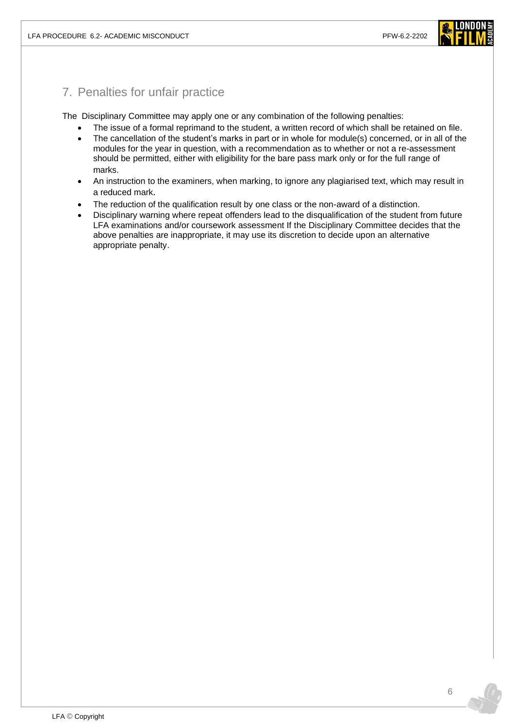

### 7. Penalties for unfair practice

The Disciplinary Committee may apply one or any combination of the following penalties:

- The issue of a formal reprimand to the student, a written record of which shall be retained on file.
- The cancellation of the student's marks in part or in whole for module(s) concerned, or in all of the modules for the year in question, with a recommendation as to whether or not a re-assessment should be permitted, either with eligibility for the bare pass mark only or for the full range of marks.
- An instruction to the examiners, when marking, to ignore any plagiarised text, which may result in a reduced mark.
- The reduction of the qualification result by one class or the non-award of a distinction.
- Disciplinary warning where repeat offenders lead to the disqualification of the student from future LFA examinations and/or coursework assessment If the Disciplinary Committee decides that the above penalties are inappropriate, it may use its discretion to decide upon an alternative appropriate penalty.